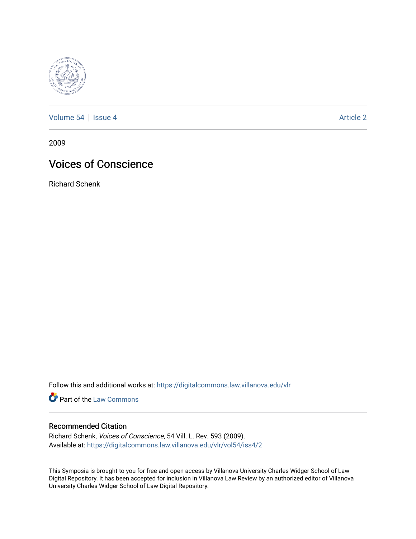

[Volume 54](https://digitalcommons.law.villanova.edu/vlr/vol54) | [Issue 4](https://digitalcommons.law.villanova.edu/vlr/vol54/iss4) Article 2

2009

# Voices of Conscience

Richard Schenk

Follow this and additional works at: [https://digitalcommons.law.villanova.edu/vlr](https://digitalcommons.law.villanova.edu/vlr?utm_source=digitalcommons.law.villanova.edu%2Fvlr%2Fvol54%2Fiss4%2F2&utm_medium=PDF&utm_campaign=PDFCoverPages)

**Part of the [Law Commons](http://network.bepress.com/hgg/discipline/578?utm_source=digitalcommons.law.villanova.edu%2Fvlr%2Fvol54%2Fiss4%2F2&utm_medium=PDF&utm_campaign=PDFCoverPages)** 

# Recommended Citation

Richard Schenk, Voices of Conscience, 54 Vill. L. Rev. 593 (2009). Available at: [https://digitalcommons.law.villanova.edu/vlr/vol54/iss4/2](https://digitalcommons.law.villanova.edu/vlr/vol54/iss4/2?utm_source=digitalcommons.law.villanova.edu%2Fvlr%2Fvol54%2Fiss4%2F2&utm_medium=PDF&utm_campaign=PDFCoverPages) 

This Symposia is brought to you for free and open access by Villanova University Charles Widger School of Law Digital Repository. It has been accepted for inclusion in Villanova Law Review by an authorized editor of Villanova University Charles Widger School of Law Digital Repository.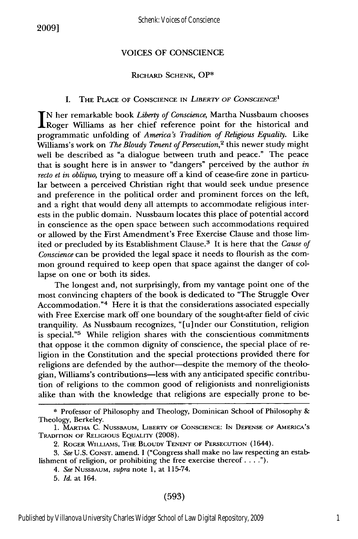### VOICES OF CONSCIENCE

#### RICHARD SCHENK, **OP\***

#### I. THE PLACE OF CONSCIENCE IN *LIBERTY* OF CONSCIENCE*<sup>1</sup>*

**IN** her remarkable book *Liberty of Conscience,* Martha Nussbaum chooses **IRoger Williams as her chief reference point for the historical and** programmatic unfolding of *America's Tradition of Religious Equalily.* Like Williams's work on *The Bloudy Tenent of Persecution,2* this newer study might well be described as "a dialogue between truth and peace." The peace that is sought here is in answer to "dangers" perceived by the author *in recto et in obliquo,* trying to measure off a kind of cease-fire zone in particular between a perceived Christian right that would seek undue presence and preference in the political order and prominent forces on the left, and a right that would deny all attempts to accommodate religious interests in the public domain. Nussbaum locates this place of potential accord in conscience as the open space between such accommodations required or allowed by the First Amendment's Free Exercise Clause and those limited or precluded by its Establishment Clause. 3 It is here that the *Cause of Conscience* can be provided the legal space it needs to flourish as the common ground required to keep open that space against the danger of collapse on one or both its sides.

The longest and, not surprisingly, from my vantage point one of the most convincing chapters of the book is dedicated to "The Struggle Over Accommodation."<sup>4</sup> Here it is that the considerations associated especially with Free Exercise mark off one boundary of the sought-after field of civic tranquility. As Nussbaum recognizes, "[u]nder our Constitution, religior is special."<sup>5</sup> While religion shares with the conscientious commitments that oppose it the common dignity of conscience, the special place of religion in the Constitution and the special protections provided there for religions are defended by the author-despite the memory of the theologian, Williams's contributions-less with any anticipated specific contribution of religions to the common good of religionists and nonreligionists alike than with the knowledge that religions are especially prone to be-

5. *Id.* at 164.

**<sup>\*</sup>** Professor of Philosophy and Theology, Dominican School of Philosophy & Theology, Berkeley.

<sup>1.</sup> MARTHA C. NUSSBAUM, LIBERTY OF CONSCIENCE: **IN** DEFENSE OF AMERICA'S TRADITION OF RELIGIOUS EQUALITY (2008).

<sup>2.</sup> ROGER WILLIAMS, THE BLOUDY TENENT OF PERSECUTION (1644).

<sup>3.</sup> *See* U.S. CONST. amend. I ("Congress shall make no law respecting an establishment of religion, or prohibiting the free exercise thereof  $\dots$ .").

<sup>4.</sup> *See* NUSSBAUM, *supra* note 1, at 115-74.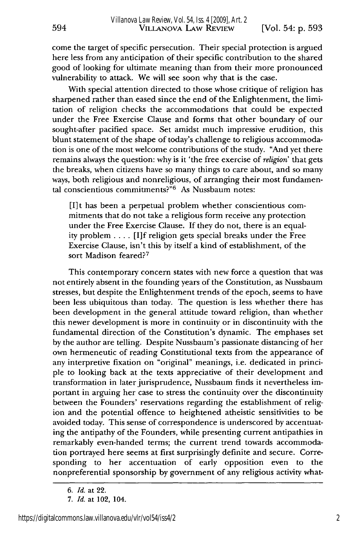come the target of specific persecution. Their special protection is argued here less from any anticipation of their specific contribution to the shared good of looking for ultimate meaning than from their more pronounced vulnerability to attack. We will see soon why that is the case.

With special attention directed to those whose critique of religion has sharpened rather than eased since the end of the Enlightenment, the limitation of religion checks the accommodations that could be expected under the Free Exercise Clause and forms that other boundary of our sought-after pacified space. Set amidst much impressive erudition, this blunt statement of the shape of today's challenge to religious accommodation is one of the most welcome contributions of the study. "And yet there remains always the question: why is it 'the free exercise of *religion'* that gets the breaks, when citizens have so many things to care about, and so many ways, both religious and nonreligious, of arranging their most fundamental conscientious commitments?" $6$  As Nussbaum notes:

[I]t has been a perpetual problem whether conscientious commitments that do not take a religious form receive any protection under the Free Exercise Clause. If they do not, there is an equality problem .... [I]f religion gets special breaks under the Free Exercise Clause, isn't this by itself a kind of establishment, of the sort Madison feared?<sup>7</sup>

This contemporary concern states with new force a question that was not entirely absent in the founding years of the Constitution, as Nussbaum stresses, but despite the Enlightenment trends of the epoch, seems to have been less ubiquitous than today. The question is less whether there has been development in the general attitude toward religion, than whether this newer development is more in continuity or in discontinuity with the fundamental direction of the Constitution's dynamic. The emphases set by the author are telling. Despite Nussbaum's passionate distancing of her own hermeneutic of reading Constitutional texts from the appearance of any interpretive fixation on "original" meanings, i.e. dedicated in principle to looking back at the texts appreciative of their development and transformation in later jurisprudence, Nussbaum finds it nevertheless important in arguing her case to stress the continuity over the discontinuity between the Founders' reservations regarding the establishment of religion and the potential offence to heightened atheistic sensitivities to be avoided today. This sense of correspondence is underscored by accentuating the antipathy of the Founders, while presenting current antipathies in remarkably even-handed terms; the current trend towards accommodation portrayed here seems at first surprisingly definite and secure. Corresponding to her accentuation of early opposition even to the nonpreferential sponsorship by government of any religious activity what-

594

*<sup>6.</sup> Id.* at 22.

<sup>7.</sup> *Id.* at 102, 104.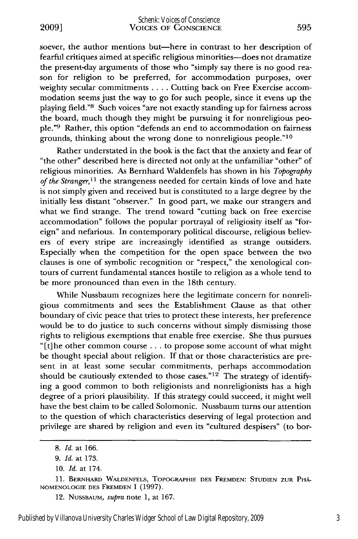soever, the author mentions but-here in contrast to her description of fearful critiques aimed at specific religious minorities-does not dramatize the present-day arguments of those who "simply say there is no good reason for religion to be preferred, for accommodation purposes, over weighty secular commitments .... Cutting back on Free Exercise accommodation seems just the way to go for such people, since it evens up the playing field."8 Such voices "are not exactly standing up for fairness across the board, much though they might be pursuing it for nonreligious people."9 Rather, this option "defends an end to accommodation on fairness grounds, thinking about the wrong done to nonreligious people."10

Rather understated in the book is the fact that the anxiety and fear of "the other" described here is directed not only at the unfamiliar "other" of religious minorities. As Bernhard Waldenfels has shown in his *Topography of the Stranger,11* the strangeness needed for certain kinds of love and hate is not simply given and received but is constituted to a large degree by the initially less distant "observer." In good part, we make our strangers and what we find strange. The trend toward "cutting back on free exercise accommodation" follows the popular portrayal of religiosity itself as "foreign" and nefarious. In contemporary political discourse, religious believers of every stripe are increasingly identified as strange outsiders. Especially when the competition for the open space between the two clauses is one of symbolic recognition or "respect," the xenological contours of current fundamental stances hostile to religion as a whole tend to be more pronounced than even in the 18th century.

While Nussbaum recognizes here the legitimate concern for nonreligious commitments and sees the Establishment Clause as that other boundary of civic peace that tries to protect these interests, her preference would be to do justice to such concerns without simply dismissing those rights to religious exemptions that enable free exercise. She thus pursues "[t]he other common course **...** to propose some account of what might be thought special about religion. If that or those characteristics are present in at least some secular commitments, perhaps accommodation should be cautiously extended to those cases."<sup>12</sup> The strategy of identifying a good common to both religionists and nonreligionists has a high degree of a priori plausibility. If this strategy could succeed, it might well have the best claim to be called Solomonic. Nussbaum turns our attention to the question of which characteristics deserving of legal protection and privilege are shared by religion and even its "cultured despisers" (to bor-

<sup>8.</sup> *Id.* at 166.

<sup>9.</sup> *Id.* at 173.

<sup>10.</sup> *Id.* at 174.

<sup>11.</sup> BERNRARD **WALDENFELS,** TOPOGRAPHIE **DES FREMDEN: STUDIEN ZUR** PHA-**NOMENOLOGIE DES** FREMDEN I (1997).

<sup>12.</sup> **NUSSBAUM,** *supra* note 1, at 167.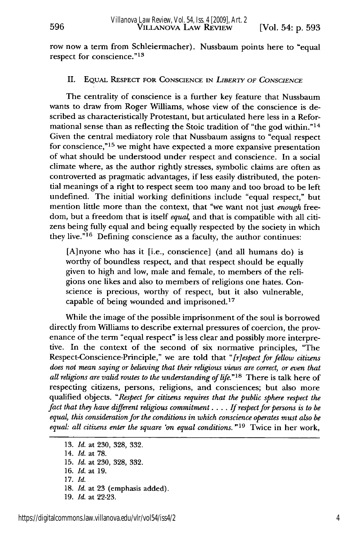row now a term from Schleiermacher). Nussbaum points here to "equal respect for conscience."<sup>13</sup>

# II. EQUAL RESPECT FOR **CONSCIENCE** IN *LIBERTY OF CONSCIENCE*

The centrality of conscience is a further key feature that Nussbaum wants to draw from Roger Williams, whose view of the conscience is described as characteristically Protestant, but articulated here less in a Reformational sense than as reflecting the Stoic tradition of "the god within." <sup>14</sup> Given the central mediatory role that Nussbaum assigns to "equal respect for conscience," $15$  we might have expected a more expansive presentation of what should be understood under respect and conscience. In a social climate where, as the author rightly stresses, symbolic claims are often as controverted as pragmatic advantages, if less easily distributed, the potential meanings of a right to respect seem too many and too broad to be left undefined. The initial working definitions include "equal respect," but mention little more than the context, that "we want not just *enough* freedom, but a freedom that is itself *equal,* and that is compatible with all citizens being fully equal and being equally respected by the society in which they live." 16 Defining conscience as a faculty, the author continues:

[A]nyone who has it [i.e., conscience] (and all humans do) is worthy of boundless respect, and that respect should be equally given to high and low, male and female, to members of the religions one likes and also to members of religions one hates. Conscience is precious, worthy of respect, but it also vulnerable, capable of being wounded and imprisoned. <sup>17</sup>

While the image of the possible imprisonment of the soul is borrowed directly from Williams to describe external pressures of coercion, the provenance of the term "equal respect" is less clear and possibly more interpretive. In the context of the second of six normative principles, "The Respect-Conscience-Principle," we are told that *"[respect for fellow citizens does not mean saying or believing that their religious views are correct, or even that all religions are valid routes to the understanding of life."18* There is talk here of respecting citizens, persons, religions, and consciences; but also more qualified objects. *"Respect for citizens requires that the public sphere respect the fact that they have different religious commitment* .... *If respect for persons is to be equal, this consideration for the conditions in which conscience operates must also be equal: all citizens enter the square 'on equal conditions.* **"19** Twice in her work,

**<sup>13.</sup>** *Id.* at 230, 328, 332.

<sup>14.</sup> *Id.* at 78.

**<sup>15.</sup>** *Id.* at 230, 328, 332.

**<sup>16.</sup>** *Id.* at 19.

**<sup>17.</sup>** *Id.*

**<sup>18.</sup>** *Id.* at 23 (emphasis added).

**<sup>19.</sup>** *Id.* at 22-23.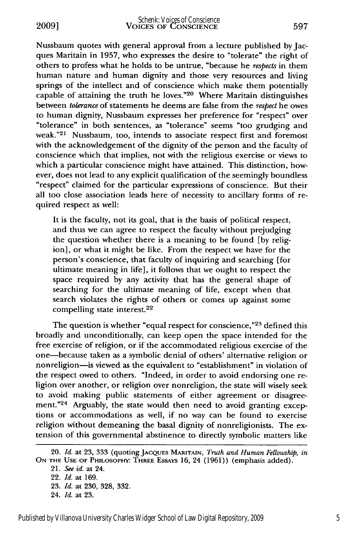Nussbaum quotes with general approval from a lecture published by Jacques Maritain in 1957, who expresses the desire to "tolerate" the right of others to profess what he holds to be untrue, "because he respects in them human nature and human dignity and those very resources and living springs of the intellect and of conscience which make them potentially capable of attaining the truth he loves."20 Where Maritain distinguishes between *tolerance* of statements he deems are false from the *respect* he owes to human dignity, Nussbaum expresses her preference for "respect" over 'tolerance" in both sentences, as "tolerance" seems "too grudging and weak."<sup>21</sup> Nussbaum, too, intends to associate respect first and foremost with the acknowledgement of the dignity of the person and the faculty of conscience which that implies, not with the religious exercise or views to which a particular conscience might have attained. This distinction, however, does not lead to any explicit qualification of the seemingly boundless "respect" claimed for the particular expressions of conscience. But their all too close association leads here of necessity to ancillary forms of required respect as well:

It is the faculty, not its goal, that is the basis of political respect, and thus we can agree to respect the faculty without prejudging the question whether there is a meaning to be found [by religion], or what it might be like. From the respect we have for the person's conscience, that faculty of inquiring and searching [for ultimate meaning in life], it follows that we ought to respect the space required by any activity that has the general shape of searching for the ultimate meaning of life, except when that search violates the rights of others or comes up against some compelling state interest.<sup>22</sup>

The question is whether "equal respect for conscience,"<sup>23</sup> defined this broadly and unconditionally, can keep open the space intended for the free exercise of religion, or if the accommodated religious exercise of the one-because taken as a symbolic denial of others' alternative religion or nonreligion-is viewed as the equivalent to "establishment" in violation of the respect owed to others. "Indeed, in order to avoid endorsing one religion over another, or religion over nonreligion, the state will wisely seek to avoid making public statements of either agreement or disagreement."<sup>24</sup> Arguably, the state would then need to avoid granting exceptions or accommodations as well, if no way can be found to exercise religion without demeaning the basal dignity of nonreligionists. The extension of this governmental abstinence to directly symbolic matters like

<sup>20.</sup> *Id.* at 23, 333 (quoting JACQUES MARITAIN, *Truth and Human Fellowship, in* **ON** THE **USE OF** PHILOSOPHrY THREE ESSAYS 16, 24 (1961)) (emphasis added).

*<sup>21.</sup> See id.* at 24. 22. *Id.* at 169. 23. *Id.* at 230, 328, 332. 24. *Id.* at 23.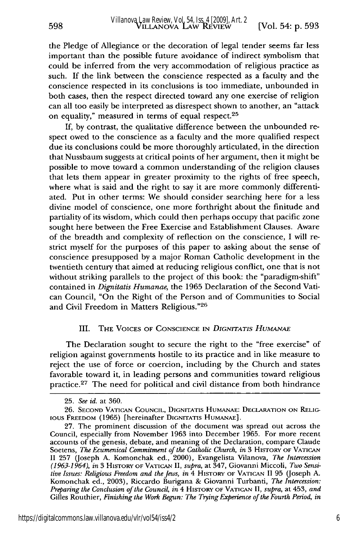the Pledge of Allegiance or the decoration of legal tender seems far less important than the possible future avoidance of indirect symbolism that could be inferred from the very accommodation of religious practice as such. If the link between the conscience respected as a faculty and the conscience respected in its conclusions is too immediate, unbounded in both cases, then the respect directed toward any one exercise of religion can all too easily be interpreted as disrespect shown to another, an "attack on equality," measured in terms of equal respect.<sup>25</sup>

If, by contrast, the qualitative difference between the unbounded respect owed to the conscience as a faculty and the more qualified respect due its conclusions could be more thoroughly articulated, in the direction that Nussbaum suggests at critical points of her argument, then it might be possible to move toward a common understanding of the religion clauses that lets them appear in greater proximity to the rights of free speech, where what is said and the right to say it are more commonly differentiated. Put in other terms: We should consider searching here for a less divine model of conscience, one more forthright about the finitude and partiality of its wisdom, which could then perhaps occupy that pacific zone sought here between the Free Exercise and Establishment Clauses. Aware of the breadth and complexity of reflection on the conscience, I will restrict myself for the purposes of this paper to asking about the sense of conscience presupposed by a major Roman Catholic development in the twentieth century that aimed at reducing religious conflict, one that is not without striking parallels to the project of this book: the "paradigm-shift" contained in *Dignitatis Humanae,* the 1965 Declaration of the Second Vatican Council, "On the Right of the Person and of Communities to Social and Civil Freedom in Matters Religious."26

#### **III.** THE VOICES OF CONSCIENCE IN *DIGNITATIS HUMANAE*

The Declaration sought to secure the right to the "free exercise" of religion against governments hostile to its practice and in like measure to reject the use of force or coercion, including by the Church and states favorable toward it, in leading persons and communities toward religious practice.<sup>27</sup> The need for political and civil distance from both hindrance

<sup>25.</sup> *See id.* at 360.

<sup>26.</sup> **SECOND** VATICAN COUNCIL, DIGNITATIs HUMANAE: DECLARATION ON RELIG-IOUS FREEDOM (1965) [hereinafter DIGNITATIs HuMANAE].

<sup>27.</sup> The prominent discussion of the document was spread out across the Council, especially from November 1963 into December 1965. For more recent accounts of the genesis, debate, and meaning of the Declaration, compare Claude Soetens, *The Ecumenical Commitment of the Catholic Church, in* 3 HISTORY OF VATICAN II 257 (Joseph A. Komonchak ed., 2000), Evangelista Vilanova, *The Intercession (1963-1964), in* 3 HisTORY **OF VATICAN** II, *supra,* at 347, Giovanni Miccoli, *Two Sensitive Issues: Religious Freedom and the Jews, in* 4 HISTORY OF VATICAN II 95 (Joseph A. Komonchak ed., 2003), Riccardo Burigana & Giovanni Turbanti, *The Intercession: Preparing the Conclusion of the Council, in* 4 HisToRY OF VATICAN II, *supra,* at 453, *and* Gilles Routhier, *Finishing the Work Begun: The Tiying Experience of the Fourth Period, in*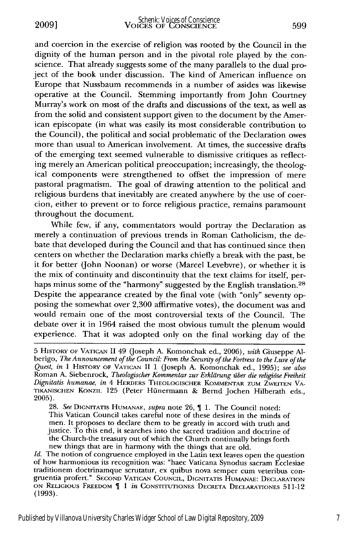**2009]**

and coercion in the exercise of religion was rooted by the Council in the dignity of the human person and in the pivotal role played by the conscience. That already suggests some of the many parallels to the dual project of the book under discussion. The kind of American influence on Europe that Nussbaum recommends in a number of asides was likewise operative at the Council. Stemming importantly from John Courtney Murray's work on most of the drafts and discussions of the text, as well as from the solid and consistent support given to the document by the American episcopate (in what was easily its most considerable contribution to the Council), the political and social problematic of the Declaration owes more than usual to American involvement. At times, the successive drafts of the emerging text seemed vulnerable to dismissive critiques as reflecting merely an American political preoccupation; increasingly, the theological components were strengthened to offset the impression of mere pastoral pragmatism. The goal of drawing attention to the political and religious burdens that inevitably are created anywhere by the use of coercion, either to prevent or to force religious practice, remains paramount throughout the document.

While few, if any, commentators would portray the Declaration as merely a continuation of previous trends in Roman Catholicism, the debate that developed during the Council and that has continued since then centers on whether the Declaration marks chiefly a break with the past, be it for better (John Noonan) or worse (Marcel Levebvre), or whether it is the mix of continuity and discontinuity that the text claims for itself, perhaps minus some of the "harmony" suggested by the English translation.<sup>28</sup> Despite the appearance created by the final vote (with "only" seventy opposing the somewhat over 2,300 affirmative votes), the document was and would remain one of the most controversial texts of the Council. The debate over it in 1964 raised the most obvious tumult the plenum would experience. That it was adopted only on the final working day of the

28. See DIGNITATIS HUMANAE, *supra* note 26, 11. The Council noted: This Vatican Council takes careful note of these desires in the minds of men. It proposes to declare them to be greatly in accord with truth and justice. To this end, it searches into the sacred tradition and doctrine of the Church-the treasury out of which the Church continually brings forth new things that are in harmony with the things that are old.

*Id.* The notion of congruence employed in the Latin text leaves open the question of how harmonious its recognition was: "haec Vaticana Synodus sacram Ecclesiae traditionem doctrinamque scrutatur, ex quibus nova semper cum veteribus con- gruentia profert." SECOND VATICAN COUNCIL, DIGNITATIS HuMANAE: DECLARATION ON RELIGIOUS FREEDOM 1 *in* CONSTITUTIONEs DECRETA DECLARATIONES 511-12 **(1993).**

<sup>5</sup> HisTORY OF VATICAN II 49 (Joseph A. Komonchak ed., 2006), *with* Giuseppe Alberigo, *The Announcement of the Council: From the Security of the Fortress to the Lure of the Quest, in* 1 HIsTORy OF VATICAN II 1 (Joseph A. Komonchak ed., 1995); *see also* Roman A. Siebenrock, *Theologischer Kommentar zur Erkldrung ziber die religiose Freiheit Dignitatis humanae, in* 4 HERDERS THEOLOGISCHER KOMMENTAR ZUM ZWEITEN VA-TIKANISCHEN KONZIL 125 (Peter Hfinermann & Bernd Jochen Hilberath eds., **2005).**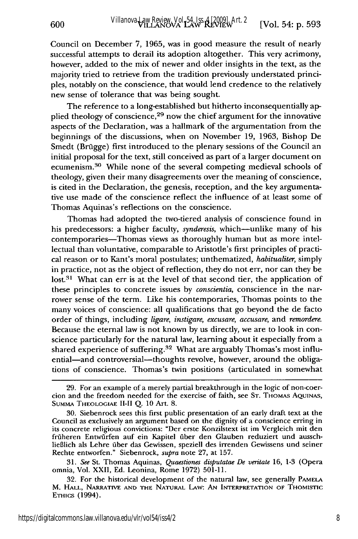Council on December 7, 1965, was in good measure the result of nearly successful attempts to derail its adoption altogether. This very acrimony, however, added to the mix of newer and older insights in the text, as the majority tried to retrieve from the tradition previously understated principles, notably on the conscience, that would lend credence to the relatively new sense of tolerance that was being sought.

The reference to a long-established but hitherto inconsequentially applied theology of conscience, 29 now the chief argument for the innovative aspects of the Declaration, was a hallmark of the argumentation from the beginnings of the discussions, when on November 19, 1963, Bishop De Smedt (Brügge) first introduced to the plenary sessions of the Council an initial proposal for the text, still conceived as part of a larger document on ecumenism. 30 While none of the several competing medieval schools of theology, given their many disagreements over the meaning of conscience, is cited in the Declaration, the genesis, reception, and the key argumentative use made of the conscience reflect the influence of at least some of Thomas Aquinas's reflections on the conscience.

Thomas had adopted the two-tiered analysis of conscience found in his predecessors: a higher faculty, *synderesis*, which—unlike many of his contemporaries-Thomas views as thoroughly human but as more intellectual than voluntative, comparable to Aristotle's first principles of practical reason or to Kant's moral postulates; unthematized, *habitualiter,* simply in practice, not as the object of reflection, they do not err, nor can they be  $lost<sup>31</sup>$  What can err is at the level of that second tier, the application of these principles to concrete issues by *conscientia,* conscience in the narrower sense of the term. Like his contemporaries, Thomas points to the many voices of conscience: all qualifications that go beyond the de facto order of things, including *ligare, instigare, excusare, accusare,* and *remordere.* Because the eternal law is not known by us directly, we are to look in conscience particularly for the natural law, learning about it especially from a shared experience of suffering.<sup>32</sup> What are arguably Thomas's most influential-and controversial-thoughts revolve, however, around the obligations of conscience. Thomas's twin positions (articulated in somewhat

**31.** *See* St. Thomas Aquinas, *Quaestiones disputatae De veritate* 16, 1-3 (Opera omnia, Vol. XXII, Ed. Leonina, Rome 1972) 501-11.

<sup>29.</sup> For an example of a merely partial breakthrough in the logic of non-coercion and the freedom needed for the exercise of faith, see **ST.** THOMAS **AQUINAS,** SUMMA **THEOLOGIAE II-II** Q. **10** Art. 8.

<sup>30.</sup> Siebenrock sees this first public presentation of an early draft text at the Council as exclusively an argument based on the dignity of a conscience erring in its concrete religious convictions: "Der erste Konzilstext ist im Vergleich mit den früheren Entwürfen auf ein Kapitel über den Glauben reduziert und ausschlieBlich als Lehre fiber das Gewissen, speziell des irrenden Gewissens und seiner Rechte entworfen." Siebenrock, *supra* note **27,** at 157.

<sup>32.</sup> For the historical development of the natural law, see generally **PAMELA** M. HALL, NARRATIVE **AND** THE NATURAL LAw: AN INTERPRETATION OF THOMIsTIC ETHICS (1994).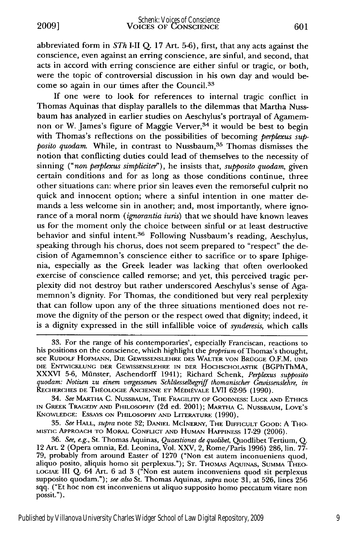abbreviated form in *STh* I-II Q. 17 Art. 5-6), first, that any acts against the conscience, even against an erring conscience, are sinful, and second, that acts in accord with erring conscience are either sinful or tragic, or both, were the topic of controversial discussion in his own day and would become so again in our times after the Council.<sup>33</sup>

If one were to look for references to internal tragic conflict in Thomas Aquinas that display parallels to the dilemmas that Martha Nussbaum has analyzed in earlier studies on Aeschylus's portrayal of Agamemnon or W. James's figure of Maggie Verver,  $34$  it would be best to begin with Thomas's reflections on the possibilities of becoming *perplexus supposito quodam.* While, in contrast to Nussbaum, <sup>35</sup> Thomas dismisses the notion that conflicting duties could lead of themselves to the necessity of sinning *("non perplexus simpliciter'),* he insists that, *supposito quodam,* given certain conditions and for as long as those conditions continue, three other situations can: where prior sin leaves even the remorseful culprit no quick and innocent option; where a sinful intention in one matter demands a less welcome sin in another; and, most importantly, where ignorance of a moral norm *(ignorantia iuris)* that we should have known leaves us for the moment only the choice between sinful or at least destructive behavior and sinful intent.36 Following Nussbaum's reading, Aeschylus, speaking through his chorus, does not seem prepared to "respect" the decision of Agamemnon's conscience either to sacrifice or to spare Iphigenia, especially as the Greek leader was lacking that often overlooked exercise of conscience called remorse; and yet, this perceived tragic perplexity did not destroy but rather underscored Aeschylus's sense of Agamemnon's dignity. For Thomas, the conditioned but very real perplexity that can follow upon any of the three situations mentioned does not remove the dignity of the person or the respect owed that dignity; indeed, it is a dignity expressed in the still infallible voice of *synderesis,* which calls

34. *See* MARTHA **C. NUSSBAUM,** THE FRAGILITY **OF** GOODNESS: **LUCK AND** ETHICS IN GREEK TRAGEDY **AND** PHILOSOPHY (2d ed. 2001); MARTrHA **C. NUSSBAUM,** LOVE'S **KNOWLEDGE:** ESSAYS **ON** PIILOSOPHY **AND** LITERATURE (1990).

35. *See* HALL, *supra* note 32; **DANIEL MCINERNY,** THE DIFICULT GOOD: A THO-MISTIC APPROACH TO MORAL **CONFLICT AND HUMAN HAPPINESS** 17-29 (2006).

<sup>33.</sup> For the range of his contemporaries', especially Franciscan, reactions to his positions on the conscience, which highlight the *proprium* of Thomas's thought, see RUDOLF **HOFMANN, DIE GEWISSENSLEHRE DES** WALTER **VON** BROGGE O.F.M. **UND DIE ENTWICKLUNG DER GEWISSENSLEHRE** IN **DER HOCHSCHOLASTIK** (BGPhThMA, XXXVI 5-6, Minster, Aschendorff 1941); Richard Schenk, *Perplexus supposito quodam: Notizen zu einem vergessenen Schliesselbegriff thomanischer Gewissenslehre, in* RECHERCHES DE THÉOLOGIE ANCIENNE ET MÉDIÉVALE LVII 62-95 (1990).

<sup>36.</sup> See, e.g., St. Thomas Aquinas, *Quaestiones de quolibet,* Quodlibet Tertium, Q. 12 Art. 2 (Opera omnia, Ed. Leonina, Vol. XXV, 2, Rome/Paris 1996) 286, lin. **77-** 79, probably from around Easter of 1270 ("Non est autem inconueniens quod, aliquo posito, aliquis homo sit perplexus."); **ST.** THOMAS **AQUINAS,** SUMMA THEO-**LOGIAE** III Q. 64 Art. 6 ad 3 ("Non est autem inconveniens quod sit perplexus supposito quodam."); *see also* St. Thomas Aquinas, *supra* note 31, at 526, lines 256 sqq. ("Et hoc non est inconveniens ut aliquo supposito homo peccatum vitare non possit.").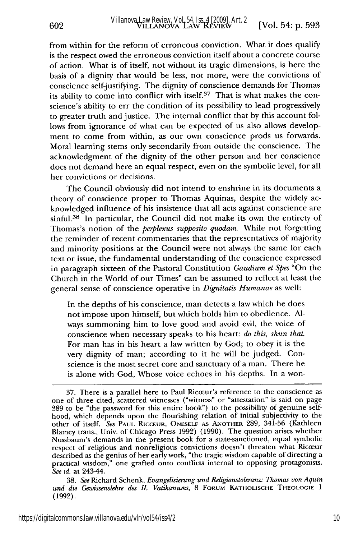from within for the reform of erroneous conviction. What it does qualify is the respect owed the erroneous conviction itself about a concrete course of action. What is of itself, not without its tragic dimensions, is here the basis of a dignity that would be less, not more, were the convictions of conscience self-justifying. The dignity of conscience demands for Thomas its ability to come into conflict with itself. $37$  That is what makes the conscience's ability to err the condition of its possibility to lead progressively to greater truth and justice. The internal conflict that by this account follows from ignorance of what can be expected of us also allows development to come from within, as our own conscience prods us forwards. Moral learning stems only secondarily from outside the conscience. The acknowledgment of the dignity of the other person and her conscience does not demand here an equal respect, even on the symbolic level, for all her convictions or decisions.

The Council obviously did not intend to enshrine in its documents a theory of conscience proper to Thomas Aquinas, despite the widely acknowledged influence of his insistence that all acts against conscience are sinful.<sup>38</sup> In particular, the Council did not make its own the entirety of Thomas's notion of the *perplexus supposito quodam.* While not forgetting the reminder of recent commentaries that the representatives of majority and minority positions at the Council were not always the same for each text or issue, the fundamental understanding of the conscience expressed in paragraph sixteen of the Pastoral Constitution *Gaudium et Spes* "On the Church in the World of our Times" can be assumed to reflect at least the general sense of conscience operative in *Dignitatis Humanae* as well:

In the depths of his conscience, man detects a law which he does not impose upon himself, but which holds him to obedience. Always summoning him to love good and avoid evil, the voice of conscience when necessary speaks to his heart: *do this, shun that.* For man has in his heart a law written by God; to obey it is the very dignity of man; according to it he will be judged. Conscience is the most secret core and sanctuary of a man. There he is alone with God, Whose voice echoes in his depths. In a won-

38. *See* Richard Schenk, *Evangelisierung und Religionstoleranz: Thomas von Aquin und die Gewissenslehre des II. Vatikanums,* 8 FORUM **KATHOLISCHE THEOLOGIE 1** (1992).

602

<sup>37.</sup> There is a parallel here to Paul Ricceur's reference to the conscience as one of three cited, scattered witnesses ("witness" or "attestation" is said on page 289 to be "the password for this entire book") to the possibility of genuine selfhood, which depends upon the flourishing relation of initial subjectivity to the other of itself. *See* PAUL RICCEUR, ONESELF AS ANOTHER 289, 341-56 (Kathleen Blamey trans., Univ. of Chicago Press 1992) (1990). The question arises whether Nussbaum's demands in the present book for a state-sanctioned, equal symbolic respect of religious and nonreligious convictions doesn't threaten what Ricceur described as the genius of her early work, "the tragic wisdom capable of directing a practical wisdom," one grafted onto conflicts internal to opposing protagonists. *See id.* at 243-44.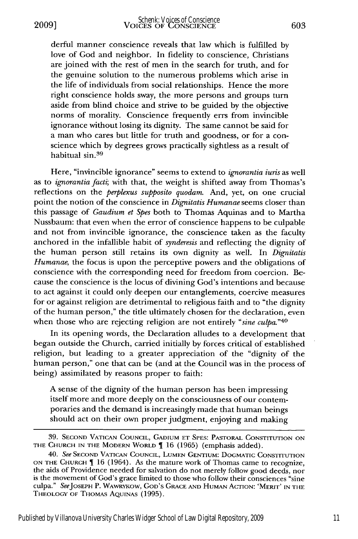derful manner conscience reveals that law which is fulfilled by love of God and neighbor. In fidelity to conscience, Christians are joined with the rest of men in the search for truth, and for the genuine solution to the numerous problems which arise in the life of individuals from social relationships. Hence the more right conscience holds sway, the more persons and groups turn aside from blind choice and strive to be guided by the objective norms of morality. Conscience frequently errs from invincible ignorance without losing its dignity. The same cannot be said for a man who cares but little for truth and goodness, or for a conscience which by degrees grows practically sightless as a result of habitual sin. <sup>39</sup>

Here, "invincible ignorance" seems to extend to *ignorantia iuris* as well as to *ignorantia facti;* with that, the weight is shifted away from Thomas's reflections on the *perplexus supposito quodam.* And, yet, on one crucial point the notion of the conscience in *Dignitatis Humanae* seems closer than this passage of *Gaudium et Spes* both to Thomas Aquinas and to Martha Nussbaum: that even when the error of conscience happens to be culpable and not from invincible ignorance, the conscience taken as the faculty anchored in the infallible habit of *synderesis* and reflecting the dignity of the human person still retains its own dignity as well. In *Dignitatis Humanae,* the focus is upon the perceptive powers and the obligations of conscience with the corresponding need for freedom from coercion. Because the conscience is the locus of divining God's intentions and because to act against it could only deepen our entanglements, coercive measures for or against religion are detrimental to religious faith and to "the dignity of the human person," the title ultimately chosen for the declaration, even when those who are rejecting religion are not entirely *"sine culpa."40*

In its opening words, the Declaration alludes to a development that began outside the Church, carried initially by forces critical of established religion, but leading to a greater appreciation of the "dignity of the human person," one that can be (and at the Council was in the process of being) assimilated by reasons proper to faith:

A sense of the dignity of the human person has been impressing itself more and more deeply on the consciousness of our contemporaries and the demand is increasingly made that human beings should act on their own proper judgment, enjoying and making

<sup>39.</sup> SECOND VATICAN COUNCIL, GADIUM ET SPES: PASTORAL CONSTITUTION ON THE CHURCH IN THE MODERN WORLD 16 (1965) (emphasis added).

<sup>40.</sup> *See* SECOND VATICAN COUNCIL, LUMEN GENTIUM: DOGMATIC CONSTITUTION ON THE CHURCH  $\P$  16 (1964). As the mature work of Thomas came to recognize, the aids of Providence needed for salvation do not merely follow good deeds, nor is the movement of God's grace limited to those who follow their consciences "sine culpa." SeeJOSEPH P. WAwRYKOW, GOD'S **GRACE AND** HUMAN ACTION: 'MERIT' IN THE THEOLOGY **OF** THOMAS AQUINAS (1995).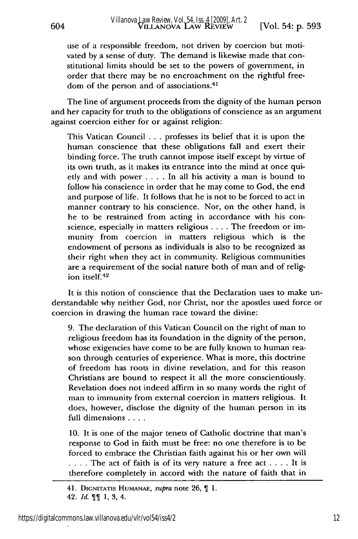use of a responsible freedom, not driven by coercion but motivated by a sense of duty. The demand is likewise made that constitutional limits should be set to the powers of government, in order that there may be no encroachment on the rightful freedom of the person and of associations.<sup>41</sup>

The line of argument proceeds from the dignity of the human person and her capacity for truth to the obligations of conscience as an argument against coercion either for or against religion:

This Vatican Council . . . professes its belief that it is upon the human conscience that these obligations fall and exert their binding force. The truth cannot impose itself except by virtue of its own truth, as it makes its entrance into the mind at once quietly and with power . **. .** . In all his activity a man is bound to follow his conscience in order that he may come to God, the end and purpose of life. It follows that he is not to be forced to act in manner contrary to his conscience. Nor, on the other hand, is he to be restrained from acting in accordance with his conscience, especially in matters religious .... The freedom or immunity from coercion in matters religious which is the endowment of persons as individuals is also to be recognized as their right when they act in community. Religious communities are a requirement of the social nature both of man and of religion itself.42

It is this notion of conscience that the Declaration uses to make understandable why neither God, nor Christ, nor the apostles used force or coercion in drawing the human race toward the divine:

9. The declaration of this Vatican Council on the right of man to religious freedom has its foundation in the dignity of the person, whose exigencies have come to be are fully known to human reason through centuries of experience. What is more, this doctrine of freedom has roots in divine revelation, and for this reason Christians are bound to respect it all the more conscientiously. Revelation does not indeed affirm in so many words the right of man to immunity from external coercion in matters religious. It does, however, disclose the dignity of the human person in its full dimensions **....**

10. It is one of the major tenets of Catholic doctrine that man's response to God in faith must be free: no one therefore is to be forced to embrace the Christian faith against his or her own will **....** The act of faith is of its very nature a free act .... It is therefore completely in accord with the nature of faith that in

<sup>41.</sup> DIGNITATiS HumANAE, *supra* note 26, **1.** 42. *Id.* 1, 3, 4.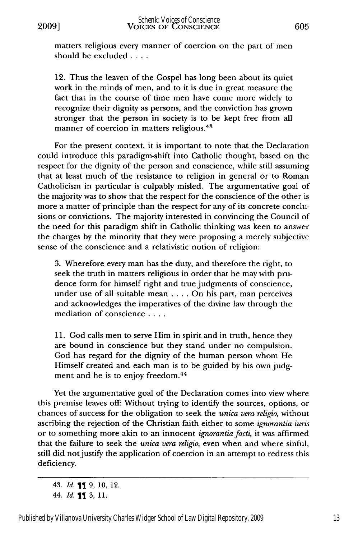matters religious every manner of coercion on the part of men should be excluded **....**

12. Thus the leaven of the Gospel has long been about its quiet work in the minds of men, and to it is due in great measure the fact that in the course of time men have come more widely to recognize their dignity as persons, and the conviction has grown stronger that the person in society is to be kept free from all manner of coercion in matters religious. <sup>43</sup>

For the present context, it is important to note that the Declaration could introduce this paradigm-shift into Catholic thought, based on the respect for the dignity of the person and conscience, while still assuming that at least much of the resistance to religion in general or to Roman Catholicism in particular is culpably misled. The argumentative goal of the majority was to show that the respect for the conscience of the other is more a matter of principle than the respect for any of its concrete conclusions or convictions. The majority interested in convincing the Council of the need for this paradigm shift in Catholic thinking was keen to answer the charges by the minority that they were proposing a merely subjective sense of the conscience and a relativistic notion of religion:

3. Wherefore every man has the duty, and therefore the right, to seek the truth in matters religious in order that he may with prudence form for himself right and true judgments of conscience, under use of all suitable mean .... On his part, man perceives and acknowledges the imperatives of the divine law through the mediation of conscience **....**

11. God calls men to serve Him in spirit and in truth, hence they are bound in conscience but they stand under no compulsion. God has regard for the dignity of the human person whom He Himself created and each man is to be guided by his own judgment and he is to enjoy freedom.<sup>44</sup>

Yet the argumentative goal of the Declaration comes into view where this premise leaves off: Without trying to identify the sources, options, or chances of success for the obligation to seek the *unica vera religio,* without ascribing the rejection of the Christian faith either to some *ignorantia iuris* or to something more akin to an innocent *ignorantiafacti,* it was affirmed that the failure to seek the *unica vera religio,* even when and where sinful, still did not justify the application of coercion in an attempt to redress this deficiency.

<sup>43.</sup> *Id.* **1** 9, 10, 12. 44. *Id.* 3, **11.**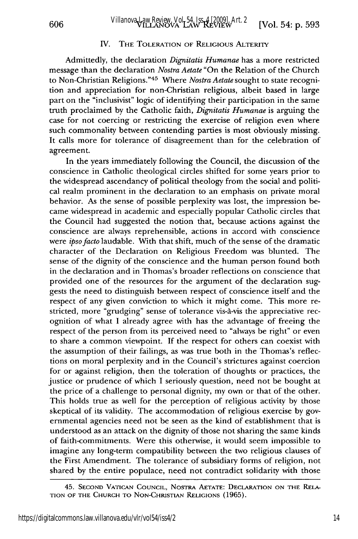## IV. THE TOLERATION OF RELIGIOUS ALTERITY

Admittedly, the declaration *Dignitatis Humanae* has a more restricted message than the declaration *Nostra Aetate* "On the Relation of the Church to Non-Christian Religions. '45 Where *Nostra Aetate* sought to state recognition and appreciation for non-Christian religious, albeit based in large part on the "inclusivist" logic of identifying their participation in the same truth proclaimed by the Catholic faith, *Dignitatis Humanae* is arguing the case for not coercing or restricting the exercise of religion even where such commonality between contending parties is most obviously missing. It calls more for tolerance of disagreement than for the celebration of agreement.

In the years immediately following the Council, the discussion of the conscience in Catholic theological circles shifted for some years prior to the widespread ascendancy of political theology from the social and political realm prominent in the declaration to an emphasis on private moral behavior. As the sense of possible perplexity was lost, the impression became widespread in academic and especially popular Catholic circles that the Council had suggested the notion that, because actions against the conscience are always reprehensible, actions in accord with conscience were *ipsofacto* laudable. With that shift, much of the sense of the dramatic character of the Declaration on Religious Freedom was blunted. The sense of the dignity of the conscience and the human person found both in the declaration and in Thomas's broader reflections on conscience that provided one of the resources for the argument of the declaration suggests the need to distinguish between respect of conscience itself and the respect of any given conviction to which it might come. This more restricted, more "grudging" sense of tolerance vis-A-vis the appreciative recognition of what **I** already agree with has the advantage of freeing the respect of the person from its perceived need to "always be right" or even to share a common viewpoint. **If** the respect for others can coexist with the assumption of their failings, as was true both in the Thomas's reflections on moral perplexity and in the Council's strictures against coercion for or against religion, then the toleration of thoughts or practices, the justice or prudence of which **I** seriously question, need not be bought at the price of a challenge to personal dignity, my own or that of the other. This holds true as well for the perception of religious activity by those skeptical of its validity. The accommodation of religious exercise by governmental agencies need not be seen as the kind of establishment that is understood as an attack on the dignity of those not sharing the same kinds of faith-commitments. Were this otherwise, it would seem impossible to imagine any long-term compatibility between the two religious clauses of the First Amendment. The tolerance of subsidiary forms of religion, not shared by the entire populace, need not contradict solidarity with those

<sup>45.</sup> **SECOND VATICAN COUNCIL,** NOSTRA **AETATE: DECLARATION ON** THE RELA-**TION** OF THE **CHURCH** TO **NON-CHRISTIAN RELIGIONS** (1965).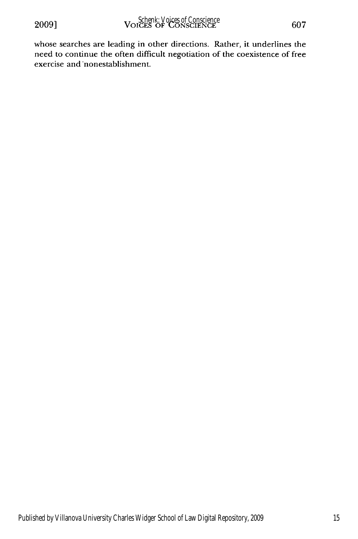whose searches are leading in other directions. Rather, it underlines the need to continue the often difficult negotiation of the coexistence of free exercise and nonestablishment.